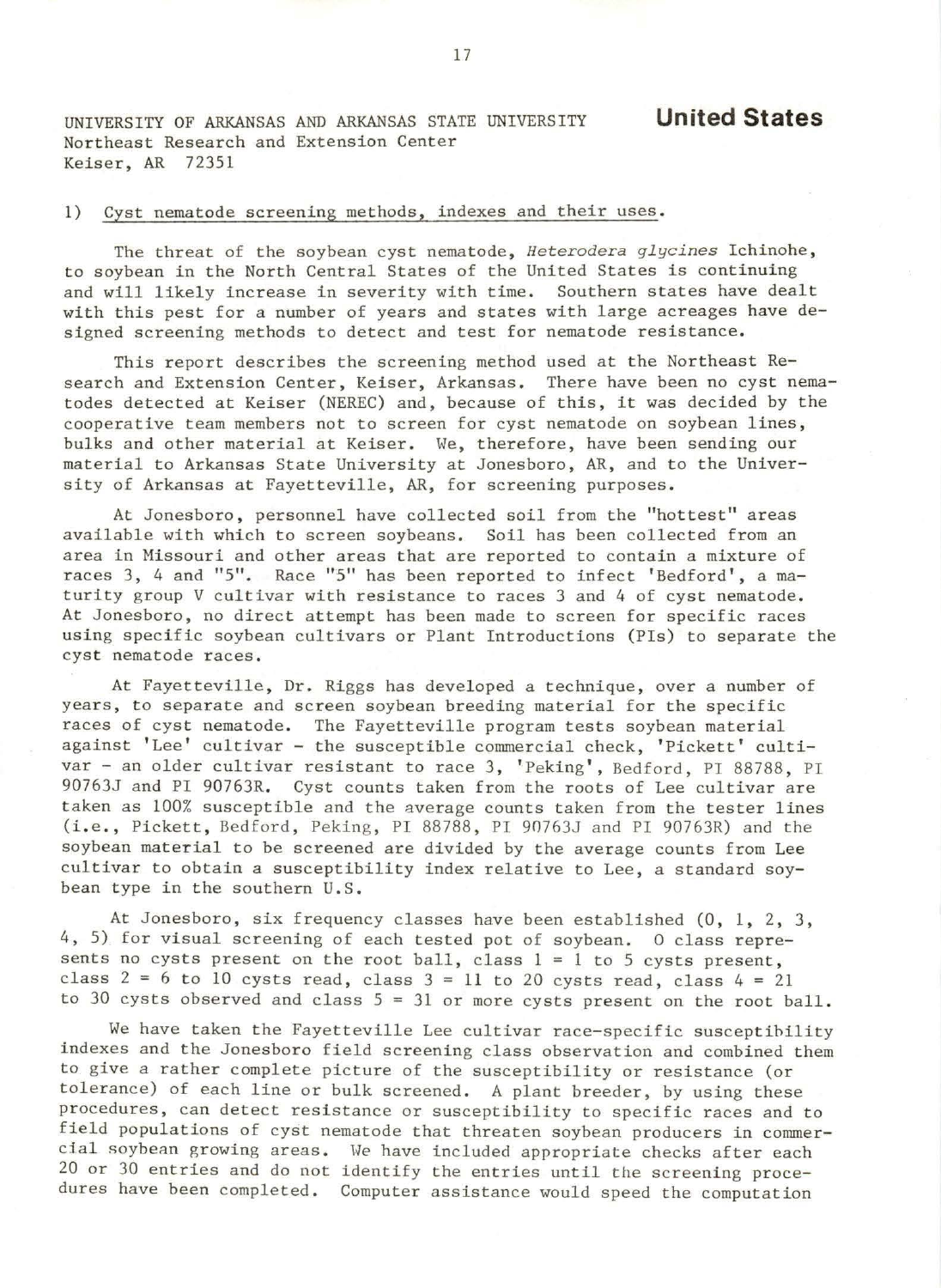UNIVERSITY OF ARKANSAS AND ARKANSAS STATE UNIVERSITY Northeast Research and Extension Center Keiser, AR 72351

## 1) Cyst nematode screening methods, indexes and their uses.

The threat of the soybean cyst nematode, *Heterodera glycines* Ichinohe, to soybean in the North Central States of the United States is continuing and will likely increase in severity with time. Southern states have dealt with this pest for a number of years and states with large acreages have designed screening methods to detect and test for nematode resistance.

This report describes the screening method used at the Northeast Research and Extension Center, Keiser, Arkansas. There have been no cyst nematodes detected at Keiser (NEREC) and, because of this, it was decided by the cooperative team members not to screen for cyst nematode on soybean lines, bulks and other material at Keiser. We, therefore, have been sending our material to Arkansas State University at Jonesboro, AR, and to the University of Arkansas at Fayetteville, AR, for screening purposes.

At Jonesboro, personnel have collected soil from the "hottest" areas available with which to screen soybeans. Soil has been collected from an area in Missouri and other areas that are reported to contain a mixture of races 3, 4 and "5". Race "5" has been reported to infect 'Bedford', a maturity group V cultivar with resistance to races 3 and 4 of cyst nematode. At Jonesboro, no direct attempt has been made to screen for specific races using specific soybean cultivars or Plant Introductions (Pis) to separate the cyst nematode races.

At Fayetteville, Dr. Riggs has developed a technique, over a number of years, to separate and screen soybean breeding material for the specific races of cyst nematode. The Fayetteville program tests soybean material against 'Lee' cultivar - the susceptible commercial check, 'Pickett' cultivar - an older cultivar resistant to race 3, 'Peking', Bedford, PI 88788, PI 90763J and PI 90763R. Cyst counts taken from the roots of Lee cultivar are taken as 100% susceptible and the average counts taken from the tester lines (i. e., Pickett, Bedford, Peking , PI 88788 , PI 90763J and PI 90763R) and the soybean material to be screened are divided by the average counts from Lee cultivar to obtain a susceptibility index relative to Lee, a standard soybean type in the southern U.S.

At Jonesboro, six frequency classes have been established (0, 1, 2, 3, 4, 5) for visual screening of each tested pot of soybean. 0 class represents no cysts present on the root ball, class  $l = l$  to 5 cysts present, class  $2 = 6$  to 10 cysts read, class  $3 = 11$  to 20 cysts read, class  $4 = 21$ to 30 cysts observed and class  $5 = 31$  or more cysts present on the root ball.

We have taken the Fayetteville Lee cultivar race-specific susceptihility indexes and the Jonesboro field screening class observation and combined them to give a rather complete picture of the susceptibility or resistance (or tolerance) of each line or bulk screened. A plant breeder, by using these procedures, can detect resistance or susceptibility to specific races and to field populations of cyst nematode that threaten soybean producers in commercial soybean growing areas. We have included appropriate checks after each 20 or 30 entries and do not identify the entries until the screening procedures have been completed. Computer assistance would speed the computation

**United States**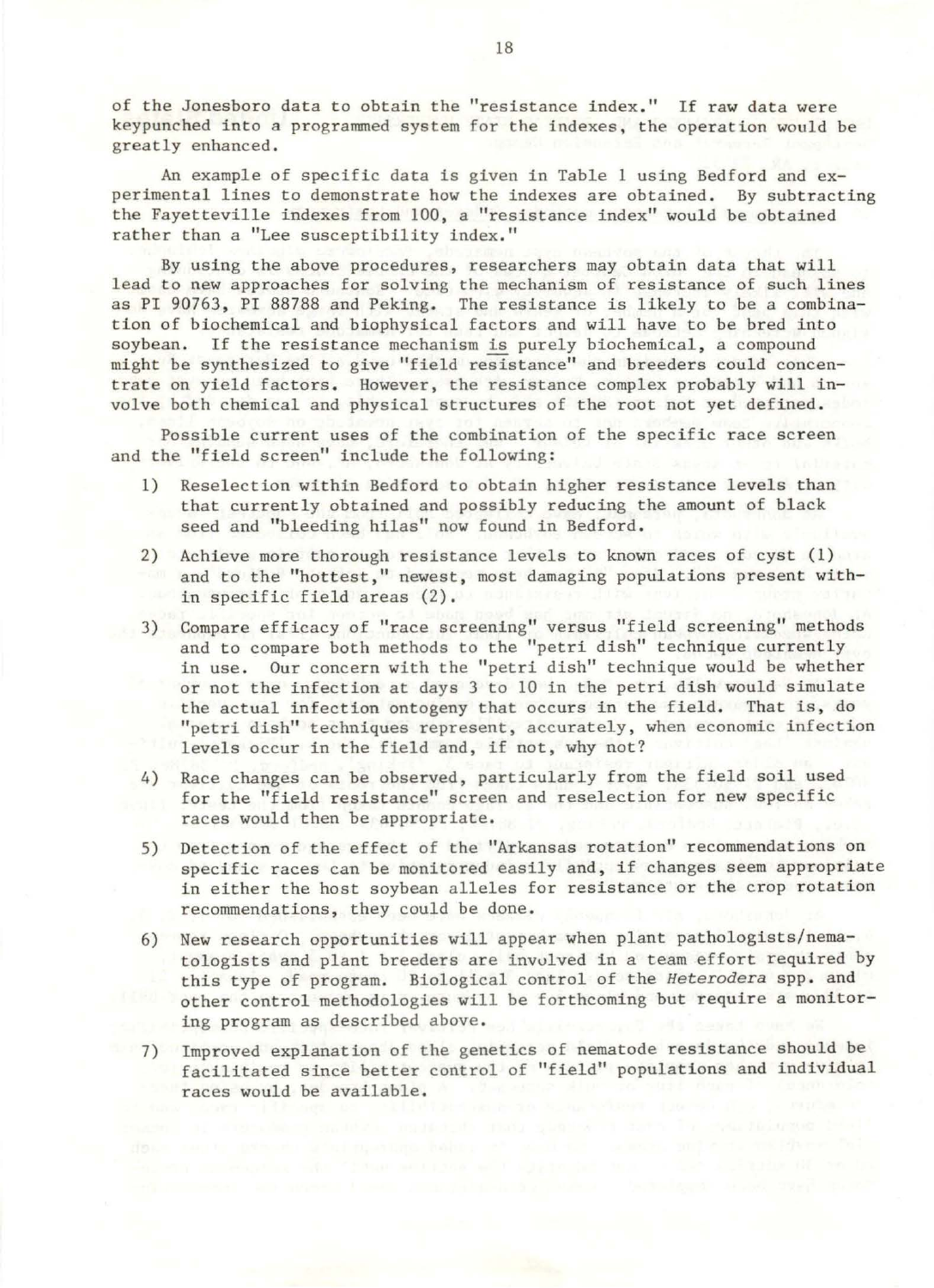of the Jonesboro data to obtain the "resistance index." If raw data were keypunched into a programmed system for the indexes, the operation would be greatly enhanced.

An example of specific data is given in Table 1 using Bedford and experimental lines to demonstrate how the indexes are obtained. By subtracting the Fayetteville indexes from 100, a "resistance index" would be obtained rather than a "Lee susceptibility index."

By using the above procedures, researchers may obtain data that will lead to new approaches for solving the mechanism of resistance of such lines as PI 90763, PI 88788 and Peking. The resistance is likely to be a combination of biochemical and biophysical factors and will have to be bred into soybean. If the resistance mechanism is purely biochemical, a compound might be synthesized to give "field resistance" and breeders could concentrate on yield factors. However, the resistance complex probably will involve both chemical and physical structures of the root not yet defined .

Possible current uses of the combination of the specific race screen and the "field screen" include the following:

- 1) Reselection within Bedford to obtain higher resistance levels than that currently obtained and possibly reducing the amount of black seed and "bleeding hilas" now found in Bedford.
- 2) Achieve more thorough resistance levels to known races of cyst (1) and to the "hottest," newest, most damaging populations present within specific field areas (2).
- 3) Compare efficacy of "race screening" versus "field screening" methods and to compare both methods to the "petri dish" technique currently in use. Our concern with the "petri dish" technique would be whether or not the infection at days 3 to 10 in the petri dish would simulate the actual infection ontogeny that occurs in the field. That is, do "petri dish" techniques represent, accurately, when economic infection levels occur in the field and, if not, why not?
- 4) Race changes can be observed, particularly from the field soil used for the "field resistance" screen and reselection for new specific races would then be appropriate.
- 5) Detection of the effect of the "Arkansas rotation" recommendations on specific races can be monitored easily and, if changes seem appropriate in either the host soybean alleles for resistance or the crop rotation recommendations, they could be done.
- 6) New research opportunities will appear when plant pathologists/nematologists and plant breeders are invulved in a team effort required by this type of program. Biological control of the *Heterodera* spp. and other control methodologies will be forthcoming but require a monitoring program as described above.
- 7) Improved explanation of the genetics of nematode resistance should be facilitated since better control of "field" populations and individual races would be available.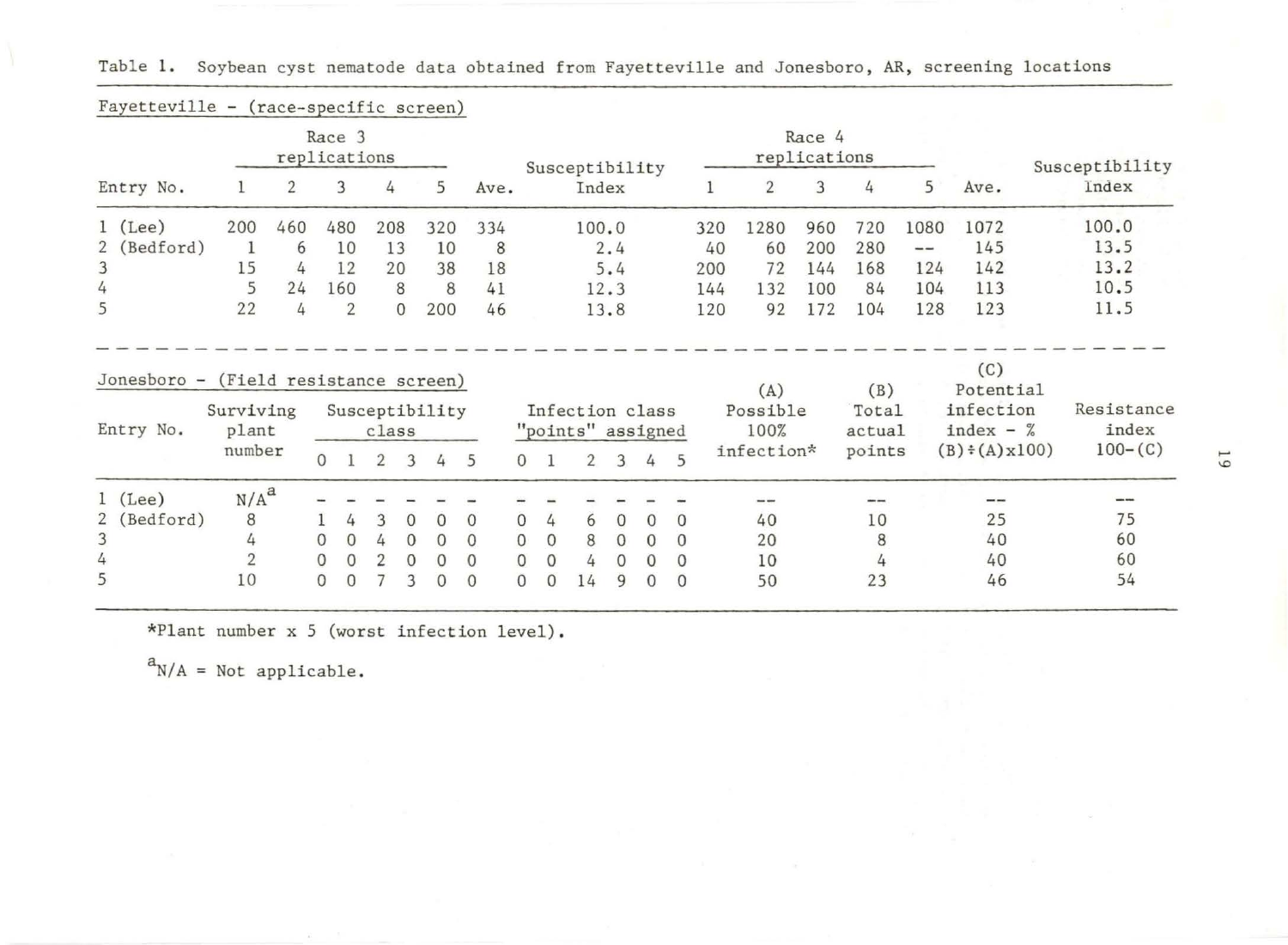| Fayetteville - (race-specific screen) |                                                 |     |                          |                     |                |                 |              |                                      |              |          |                        |                         |     |                        |                   |                                       |                     |
|---------------------------------------|-------------------------------------------------|-----|--------------------------|---------------------|----------------|-----------------|--------------|--------------------------------------|--------------|----------|------------------------|-------------------------|-----|------------------------|-------------------|---------------------------------------|---------------------|
|                                       | Race 3<br>replications                          |     |                          |                     |                |                 |              | Susceptibility                       |              |          | Race 4<br>replications |                         |     |                        |                   |                                       | Susceptibility      |
| Entry No.                             |                                                 | 2   | 3                        | 4                   | 5              | Ave.            |              | Index                                |              |          | 1                      | $\overline{2}$          | 3   | 4                      | 5                 | Ave.                                  | Index               |
| $1$ (Lee)                             | 200                                             | 460 | 480                      | 208                 | 320            | 334             |              | 100.0                                |              |          | 320                    | 1280                    | 960 | 720                    | 1080              | 1072                                  | 100.0               |
| 2 (Bedford)                           | -1                                              | 6   | 10                       | 13                  | 10             | 8               |              |                                      | 2.4          |          | 40                     | 60                      | 200 | 280                    | $\qquad \qquad -$ | 145                                   | 13.5                |
| 3                                     | 15                                              | 4   | 12                       | 20                  | 38             | 18              |              |                                      | 5.4          |          | 200                    | 72                      | 144 | 168                    | 124               | 142                                   | 13.2                |
| 4                                     | 5                                               | 24  | 160                      | 8                   | 8              | 41              |              |                                      | 12.3         |          | 144                    | 132                     | 100 | 84                     | 104               | 113                                   | 10.5                |
| 5                                     | 22                                              | 4   | 2                        | $\mathbf{0}$        | 200            | 46              |              |                                      | 13.8         |          | 120                    | 92                      | 172 | 104                    | 128               | 123                                   | 11.5                |
|                                       |                                                 |     |                          |                     |                |                 |              |                                      |              |          |                        |                         |     |                        |                   | (C)                                   |                     |
| Jonesboro -<br>Entry No.              | (Field resistance screen)<br>Surviving<br>plant |     |                          | class               | Susceptibility |                 |              | Infection class<br>"points" assigned |              |          |                        | (A)<br>Possible<br>100% |     | (B)<br>Total<br>actual |                   | Potential<br>infection<br>index $-$ % | Resistance<br>index |
|                                       | number                                          |     | 0 <sub>1</sub>           | 2<br>$\overline{3}$ | 4              | $5\overline{)}$ |              | 0 <sub>1</sub>                       | $2 \quad 3$  | 4        | 5                      | infection*              |     | points                 |                   | $(B) \div (A) \times 100$             | $100 - (C)$         |
| $1$ (Lee)                             | N/A <sup>a</sup>                                |     |                          |                     |                |                 |              |                                      |              |          |                        | ---                     |     |                        |                   |                                       | --                  |
| 2 (Bedford)                           | 8                                               |     | 4                        | $\overline{0}$<br>3 | $\Omega$       | $\Omega$        | $\Omega$     | 4<br>6                               | $\mathbf{0}$ | $\Omega$ | $\Omega$               | 40                      |     | 10                     |                   | 25                                    | 75                  |
| 3                                     | 4                                               |     | $\mathbf{0}$<br>$\Omega$ | $\Omega$<br>4       | $\Omega$       | $\Omega$        | $\Omega$     | $\mathbf{0}$<br>8                    | $\mathbf{0}$ | $\Omega$ | $\Omega$               | 20                      |     | 8                      |                   | 40                                    | 60                  |
| 4<br>5                                | $\overline{2}$                                  |     | $\Omega$<br>$\mathbf{0}$ | $\Omega$            |                | $\Omega$        | $\mathbf{0}$ | $\mathbf{0}$<br>4                    | $\Omega$     | $\Omega$ | $\Omega$               | 10                      |     | 4                      |                   | 40                                    | 60                  |

Table 1. Soybean cyst nematode data obtained from Fayetteville and Jonesboro, AR, screening locations

\*Plant number x 5 (worst infection level) .

 $a_{N/A}$  = Not applicable.